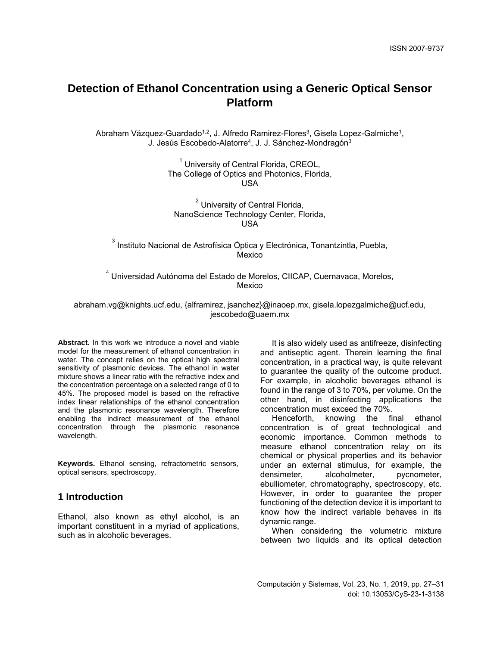# **Detection of Ethanol Concentration using a Generic Optical Sensor Platform**

Abraham Vázquez-Guardado<sup>1,2</sup>, J. Alfredo Ramirez-Flores<sup>3</sup>, Gisela Lopez-Galmiche<sup>1</sup>, J. Jesús Escobedo-Alatorre<sup>4</sup>, J. J. Sánchez-Mondragón<sup>3</sup>

> $<sup>1</sup>$  University of Central Florida, CREOL,</sup> The College of Optics and Photonics, Florida, USA

<sup>2</sup> University of Central Florida, NanoScience Technology Center, Florida, USA

 $3$  Instituto Nacional de Astrofísica Óptica y Electrónica, Tonantzintla, Puebla, Mexico

<sup>4</sup> Universidad Autónoma del Estado de Morelos, CIICAP, Cuernavaca, Morelos, Mexico

abraham.vg@knights.ucf.edu, {alframirez, jsanchez}@inaoep.mx, gisela.lopezgalmiche@ucf.edu, jescobedo@uaem.mx

**Abstract.** In this work we introduce a novel and viable model for the measurement of ethanol concentration in water. The concept relies on the optical high spectral sensitivity of plasmonic devices. The ethanol in water mixture shows a linear ratio with the refractive index and the concentration percentage on a selected range of 0 to 45%. The proposed model is based on the refractive index linear relationships of the ethanol concentration and the plasmonic resonance wavelength. Therefore enabling the indirect measurement of the ethanol concentration through the plasmonic resonance wavelength.

**Keywords.** Ethanol sensing, refractometric sensors, optical sensors, spectroscopy.

## **1 Introduction**

Ethanol, also known as ethyl alcohol, is an important constituent in a myriad of applications, such as in alcoholic beverages.

It is also widely used as antifreeze, disinfecting and antiseptic agent. Therein learning the final concentration, in a practical way, is quite relevant to guarantee the quality of the outcome product. For example, in alcoholic beverages ethanol is found in the range of 3 to 70%, per volume. On the other hand, in disinfecting applications the concentration must exceed the 70%.<br>Henceforth, knowing the final

Henceforth, knowing the final ethanol concentration is of great technological and economic importance. Common methods to measure ethanol concentration relay on its chemical or physical properties and its behavior under an external stimulus, for example, the densimeter, alcoholmeter, pycnometer, ebulliometer, chromatography, spectroscopy, etc. However, in order to guarantee the proper functioning of the detection device it is important to know how the indirect variable behaves in its dynamic range.

When considering the volumetric mixture between two liquids and its optical detection

Computación y Sistemas, Vol. 23, No. 1, 2019, pp. 27–31 doi: 10.13053/CyS-23-1-3138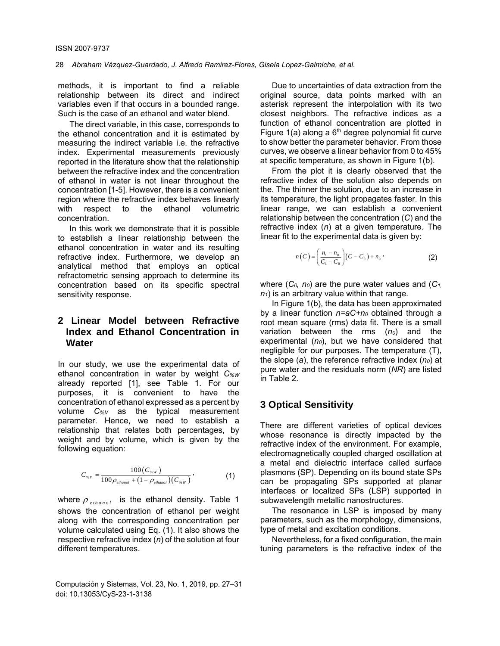#### 28 *Abraham Vázquez-Guardado, J. Alfredo Ramirez-Flores, Gisela Lopez-Galmiche, et al.*

methods, it is important to find a reliable relationship between its direct and indirect variables even if that occurs in a bounded range. Such is the case of an ethanol and water blend.

The direct variable, in this case, corresponds to the ethanol concentration and it is estimated by measuring the indirect variable i.e. the refractive index. Experimental measurements previously reported in the literature show that the relationship between the refractive index and the concentration of ethanol in water is not linear throughout the concentration [1-5]. However, there is a convenient region where the refractive index behaves linearly with respect to the ethanol volumetric concentration.

In this work we demonstrate that it is possible to establish a linear relationship between the ethanol concentration in water and its resulting refractive index. Furthermore, we develop an analytical method that employs an optical refractometric sensing approach to determine its concentration based on its specific spectral sensitivity response.

# **2 Linear Model between Refractive Index and Ethanol Concentration in Water**

In our study, we use the experimental data of ethanol concentration in water by weight *C%W* already reported [1], see Table 1. For our purposes, it is convenient to have the concentration of ethanol expressed as a percent by volume *C%V* as the typical measurement parameter. Hence, we need to establish a relationship that relates both percentages, by weight and by volume, which is given by the following equation:

$$
C_{\gamma_{\rm s} \nu} = \frac{100 (C_{\gamma_{\rm s} \nu})}{100 \rho_{ethanol} + (1 - \rho_{ethanol}) (C_{\gamma_{\rm s} \nu})}, \tag{1}
$$

where  $\rho_{ethanol}$  is the ethanol density. Table 1 shows the concentration of ethanol per weight along with the corresponding concentration per volume calculated using Eq. (1). It also shows the respective refractive index (*n*) of the solution at four different temperatures.

Computación y Sistemas, Vol. 23, No. 1, 2019, pp. 27–31 doi: 10.13053/CyS-23-1-3138

Due to uncertainties of data extraction from the original source, data points marked with an asterisk represent the interpolation with its two closest neighbors. The refractive indices as a function of ethanol concentration are plotted in Figure  $1(a)$  along a  $6<sup>th</sup>$  degree polynomial fit curve to show better the parameter behavior. From those curves, we observe a linear behavior from 0 to 45% at specific temperature, as shown in Figure 1(b).

From the plot it is clearly observed that the refractive index of the solution also depends on the. The thinner the solution, due to an increase in its temperature, the light propagates faster. In this linear range, we can establish a convenient relationship between the concentration (*C*) and the refractive index (*n*) at a given temperature. The linear fit to the experimental data is given by:

$$
n(C) = \left(\frac{n_1 - n_0}{C_1 - C_0}\right)(C - C_0) + n_0,
$$
\n(2)

where (*C0, n0*) are the pure water values and (*C1,*   $n_1$ ) is an arbitrary value within that range.

In Figure 1(b), the data has been approximated by a linear function *n=aC+n0* obtained through a root mean square (rms) data fit. There is a small variation between the rms (n<sub>0</sub>) and the experimental (*n0*), but we have considered that negligible for our purposes. The temperature (T), the slope (*a*), the reference refractive index (*n0*) at pure water and the residuals norm (*NR*) are listed in Table 2.

### **3 Optical Sensitivity**

There are different varieties of optical devices whose resonance is directly impacted by the refractive index of the environment. For example, electromagnetically coupled charged oscillation at a metal and dielectric interface called surface plasmons (SP). Depending on its bound state SPs can be propagating SPs supported at planar interfaces or localized SPs (LSP) supported in subwavelength metallic nanostructures.

The resonance in LSP is imposed by many parameters, such as the morphology, dimensions, type of metal and excitation conditions.

Nevertheless, for a fixed configuration, the main tuning parameters is the refractive index of the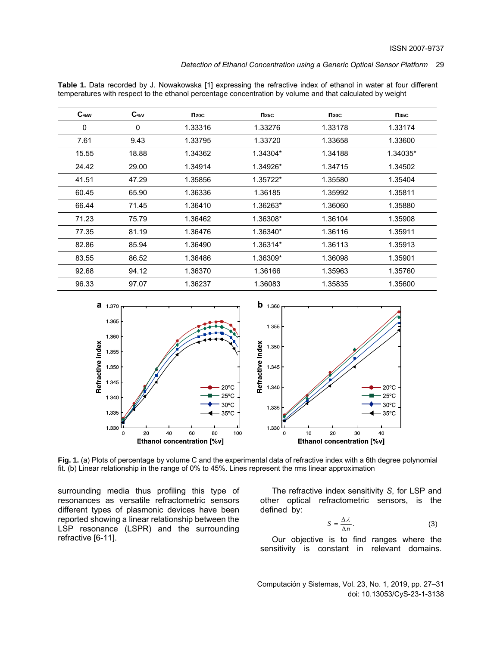#### *Detection of Ethanol Concentration using a Generic Optical Sensor Platform* 29

| <b>Table 1.</b> Data recorded by J. Nowakowska [1] expressing the refractive index of ethanol in water at four different |  |
|--------------------------------------------------------------------------------------------------------------------------|--|
| temperatures with respect to the ethanol percentage concentration by volume and that calculated by weight                |  |
|                                                                                                                          |  |

| $C$ %w | C <sub>%V</sub> | $n_{20C}$ | $n_{25C}$ | $n_{30C}$ | $n_{35C}$ |
|--------|-----------------|-----------|-----------|-----------|-----------|
| 0      | 0               | 1.33316   | 1.33276   | 1.33178   | 1.33174   |
| 7.61   | 9.43            | 1.33795   | 1.33720   | 1.33658   | 1.33600   |
| 15.55  | 18.88           | 1.34362   | 1.34304*  | 1.34188   | 1.34035*  |
| 24.42  | 29.00           | 1.34914   | 1.34926*  | 1.34715   | 1.34502   |
| 41.51  | 47.29           | 1.35856   | 1.35722*  | 1.35580   | 1.35404   |
| 60.45  | 65.90           | 1.36336   | 1.36185   | 1.35992   | 1.35811   |
| 66.44  | 71.45           | 1.36410   | 1.36263*  | 1.36060   | 1.35880   |
| 71.23  | 75.79           | 1.36462   | 1.36308*  | 1.36104   | 1.35908   |
| 77.35  | 81.19           | 1.36476   | 1.36340*  | 1.36116   | 1.35911   |
| 82.86  | 85.94           | 1.36490   | 1.36314*  | 1.36113   | 1.35913   |
| 83.55  | 86.52           | 1.36486   | 1.36309*  | 1.36098   | 1.35901   |
| 92.68  | 94.12           | 1.36370   | 1.36166   | 1.35963   | 1.35760   |
| 96.33  | 97.07           | 1.36237   | 1.36083   | 1.35835   | 1.35600   |



**Fig. 1.** (a) Plots of percentage by volume C and the experimental data of refractive index with a 6th degree polynomial fit. (b) Linear relationship in the range of 0% to 45%. Lines represent the rms linear approximation

surrounding media thus profiling this type of resonances as versatile refractometric sensors different types of plasmonic devices have been reported showing a linear relationship between the LSP resonance (LSPR) and the surrounding refractive [6-11].

The refractive index sensitivity *S*, for LSP and other optical refractometric sensors, is the defined by:

$$
S = \frac{\Delta \lambda}{\Delta n}.
$$
 (3)

Our objective is to find ranges where the sensitivity is constant in relevant domains.

Computación y Sistemas, Vol. 23, No. 1, 2019, pp. 27–31 doi: 10.13053/CyS-23-1-3138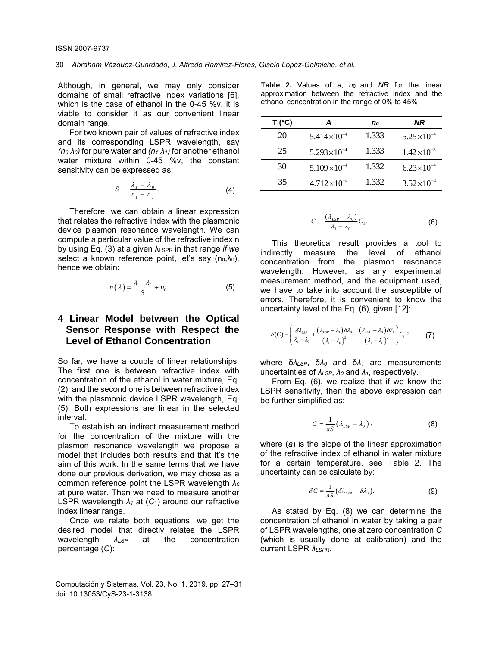Although, in general, we may only consider domains of small refractive index variations [6], which is the case of ethanol in the 0-45 %v. it is viable to consider it as our convenient linear domain range.

For two known pair of values of refractive index and its corresponding LSPR wavelength, say *(n0,λ0)* for pure water and *(n1,λ1)* for another ethanol water mixture within 0-45 %v, the constant sensitivity can be expressed as:

$$
S = \frac{\lambda_1 - \lambda_0}{n_1 - n_0}.
$$
 (4)

Therefore, we can obtain a linear expression that relates the refractive index with the plasmonic device plasmon resonance wavelength*.* We can compute a particular value of the refractive index n by using Eq. (3) at a given λLSPR in that range *if we*  select a known reference point, let's say  $(n_0, \lambda_0)$ , hence we obtain:

$$
n(\lambda) = \frac{\lambda - \lambda_0}{S} + n_0.
$$
 (5)

# **4 Linear Model between the Optical Sensor Response with Respect the Level of Ethanol Concentration**

So far, we have a couple of linear relationships. The first one is between refractive index with concentration of the ethanol in water mixture, Eq. (2), and the second one is between refractive index with the plasmonic device LSPR wavelength, Eq. (5). Both expressions are linear in the selected interval.

To establish an indirect measurement method for the concentration of the mixture with the plasmon resonance wavelength we propose a model that includes both results and that it's the aim of this work. In the same terms that we have done our previous derivation, we may chose as a common reference point the LSPR wavelength *λ<sup>0</sup>* at pure water. Then we need to measure another LSPR wavelength *λ1* at (*C*1) around our refractive index linear range.

Once we relate both equations, we get the desired model that directly relates the LSPR wavelength *λLSP* at the concentration percentage (*C*):

Computación y Sistemas, Vol. 23, No. 1, 2019, pp. 27–31 doi: 10.13053/CyS-23-1-3138

**Table 2.** Values of *a*, *n*0 and *NR* for the linear approximation between the refractive index and the ethanol concentration in the range of 0% to 45%

| T('C) |                      | n <sub>o</sub> | NR                    |
|-------|----------------------|----------------|-----------------------|
| 20    | $5.414\times10^{-4}$ | 1.333          | $5.25 \times 10^{-4}$ |
| 25    | $5.293\times10^{-4}$ | 1.333          | $1.42 \times 10^{-3}$ |
| 30    | $5.109\times10^{-4}$ | 1.332          | $6.23 \times 10^{-4}$ |
| 35    | $4.712\times10^{-4}$ | 1.332          | $3.52 \times 10^{-4}$ |

$$
C = \frac{(\lambda_{LSP} - \lambda_0)}{\lambda_1 - \lambda_0} C_1.
$$
 (6)

This theoretical result provides a tool to indirectly measure the level of ethanol concentration from the plasmon resonance wavelength. However, as any experimental measurement method, and the equipment used, we have to take into account the susceptible of errors. Therefore, it is convenient to know the uncertainty level of the Eq. (6), given [12]:

$$
\delta(C) = \left(\frac{\delta \lambda_{LSP}}{\lambda_1 - \lambda_0} + \frac{(\lambda_{LSP} - \lambda_1) \delta \lambda_0}{(\lambda_1 - \lambda_0)^2} + \frac{(\lambda_{LSP} - \lambda_0) \delta \lambda_1}{(\lambda_1 - \lambda_0)^2}\right) C_{\perp},
$$
 (7)

where δ*λLSP*, δ*λ0* and δ*λ1* are measurements uncertainties of *λLSP*, *λ0* and *λ1*, respectively.

From Eq. (6), we realize that if we know the LSPR sensitivity, then the above expression can be further simplified as:

$$
C = \frac{1}{aS} \left( \lambda_{LSP} - \lambda_0 \right), \tag{8}
$$

where (*a*) is the slope of the linear approximation of the refractive index of ethanol in water mixture for a certain temperature, see Table 2. The uncertainty can be calculate by:

$$
\delta C = \frac{1}{aS} \big( \delta \lambda_{LSP} + \delta \lambda_0 \big).
$$
 (9)

As stated by Eq. (8) we can determine the concentration of ethanol in water by taking a pair of LSPR wavelengths, one at zero concentration *C* (which is usually done at calibration) and the current LSPR *λLSPR*.